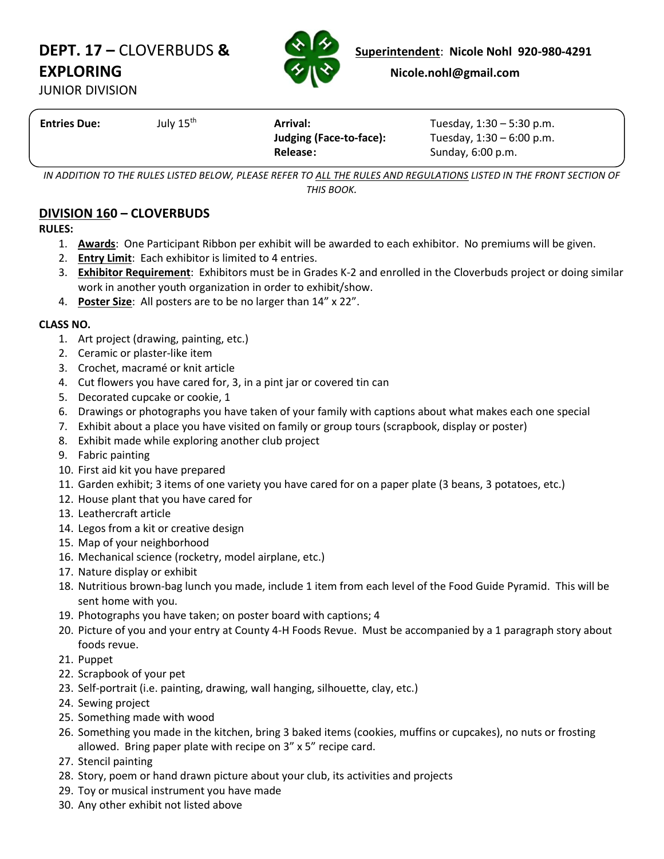# **EXPLORING Nicole.nohl@gmail.com**



**DEPT. 17 –** CLOVERBUDS & **Superintendent: Nicole Nohl 920-980-4291** 

JUNIOR DIVISION

| <b>Entries Due:</b> | July 15 <sup>th</sup> | Arrival:<br>Judging (Face-to-face):<br>Release: | Tuesday, $1:30 - 5:30$ p.m.<br>Tuesday, $1:30 - 6:00$ p.m.<br>Sunday, $6:00$ p.m. |
|---------------------|-----------------------|-------------------------------------------------|-----------------------------------------------------------------------------------|
|                     |                       |                                                 |                                                                                   |

*IN ADDITION TO THE RULES LISTED BELOW, PLEASE REFER TO ALL THE RULES AND REGULATIONS LISTED IN THE FRONT SECTION OF THIS BOOK.*

## **DIVISION 160 – CLOVERBUDS**

**RULES:**

- 1. **Awards**: One Participant Ribbon per exhibit will be awarded to each exhibitor. No premiums will be given.
- 2. **Entry Limit**: Each exhibitor is limited to 4 entries.
- 3. **Exhibitor Requirement**: Exhibitors must be in Grades K-2 and enrolled in the Cloverbuds project or doing similar work in another youth organization in order to exhibit/show.
- 4. **Poster Size**: All posters are to be no larger than 14" x 22".

### **CLASS NO.**

- 1. Art project (drawing, painting, etc.)
- 2. Ceramic or plaster-like item
- 3. Crochet, macramé or knit article
- 4. Cut flowers you have cared for, 3, in a pint jar or covered tin can
- 5. Decorated cupcake or cookie, 1
- 6. Drawings or photographs you have taken of your family with captions about what makes each one special
- 7. Exhibit about a place you have visited on family or group tours (scrapbook, display or poster)
- 8. Exhibit made while exploring another club project
- 9. Fabric painting
- 10. First aid kit you have prepared
- 11. Garden exhibit; 3 items of one variety you have cared for on a paper plate (3 beans, 3 potatoes, etc.)
- 12. House plant that you have cared for
- 13. Leathercraft article
- 14. Legos from a kit or creative design
- 15. Map of your neighborhood
- 16. Mechanical science (rocketry, model airplane, etc.)
- 17. Nature display or exhibit
- 18. Nutritious brown-bag lunch you made, include 1 item from each level of the Food Guide Pyramid. This will be sent home with you.
- 19. Photographs you have taken; on poster board with captions; 4
- 20. Picture of you and your entry at County 4-H Foods Revue. Must be accompanied by a 1 paragraph story about foods revue.
- 21. Puppet
- 22. Scrapbook of your pet
- 23. Self-portrait (i.e. painting, drawing, wall hanging, silhouette, clay, etc.)
- 24. Sewing project
- 25. Something made with wood
- 26. Something you made in the kitchen, bring 3 baked items (cookies, muffins or cupcakes), no nuts or frosting allowed. Bring paper plate with recipe on 3" x 5" recipe card.
- 27. Stencil painting
- 28. Story, poem or hand drawn picture about your club, its activities and projects
- 29. Toy or musical instrument you have made
- 30. Any other exhibit not listed above